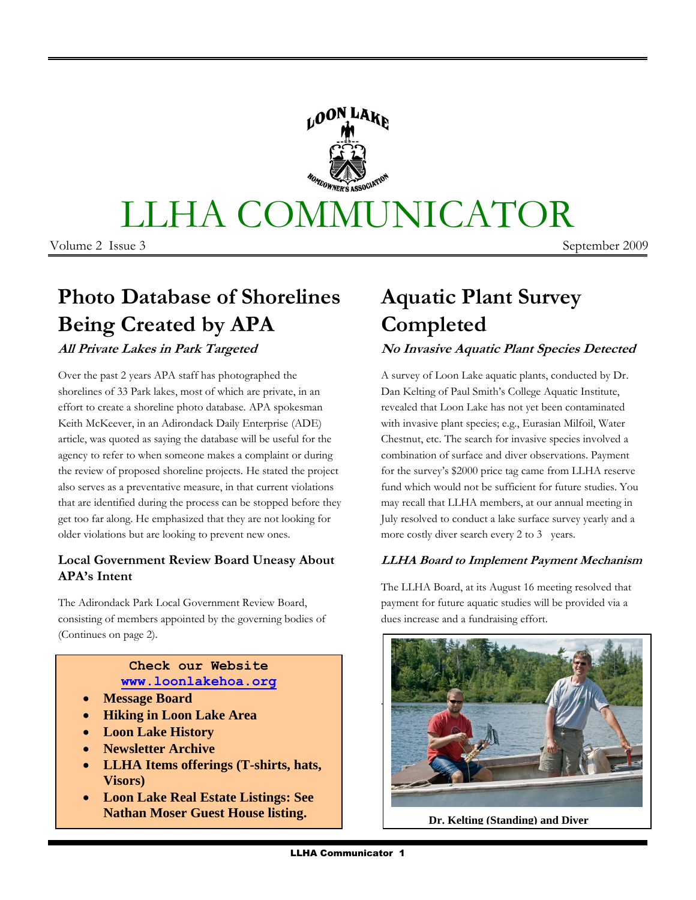# LLHA COMMUNICATOR

Volume 2 Issue 3 September 2009

# **Photo Database of Shorelines Being Created by APA**

## **All Private Lakes in Park Targeted**

Over the past 2 years APA staff has photographed the shorelines of 33 Park lakes, most of which are private, in an effort to create a shoreline photo database. APA spokesman Keith McKeever, in an Adirondack Daily Enterprise (ADE) article, was quoted as saying the database will be useful for the agency to refer to when someone makes a complaint or during the review of proposed shoreline projects. He stated the project also serves as a preventative measure, in that current violations that are identified during the process can be stopped before they get too far along. He emphasized that they are not looking for older violations but are looking to prevent new ones.

#### **Local Government Review Board Uneasy About APA's Intent**

The Adirondack Park Local Government Review Board, consisting of members appointed by the governing bodies of (Continues on page 2).

#### **Check our Website [www.loonlakehoa.org](http://www.loonlakehoa.org/)**

- **Message Board**
- **Hiking in Loon Lake Area**
- **Loon Lake History**
- **Newsletter Archive**
- **LLHA Items offerings (T-shirts, hats, Visors)**
- **Loon Lake Real Estate Listings: See Nathan Moser Guest House listing.**

# **Aquatic Plant Survey Completed**

## **No Invasive Aquatic Plant Species Detected**

A survey of Loon Lake aquatic plants, conducted by Dr. Dan Kelting of Paul Smith's College Aquatic Institute, revealed that Loon Lake has not yet been contaminated with invasive plant species; e.g., Eurasian Milfoil, Water Chestnut, etc. The search for invasive species involved a combination of surface and diver observations. Payment for the survey's \$2000 price tag came from LLHA reserve fund which would not be sufficient for future studies. You may recall that LLHA members, at our annual meeting in July resolved to conduct a lake surface survey yearly and a more costly diver search every 2 to 3 years.

#### **LLHA Board to Implement Payment Mechanism**

The LLHA Board, at its August 16 meeting resolved that payment for future aquatic studies will be provided via a dues increase and a fundraising effort.



 **Dr. Kelting (Standing) and Diver**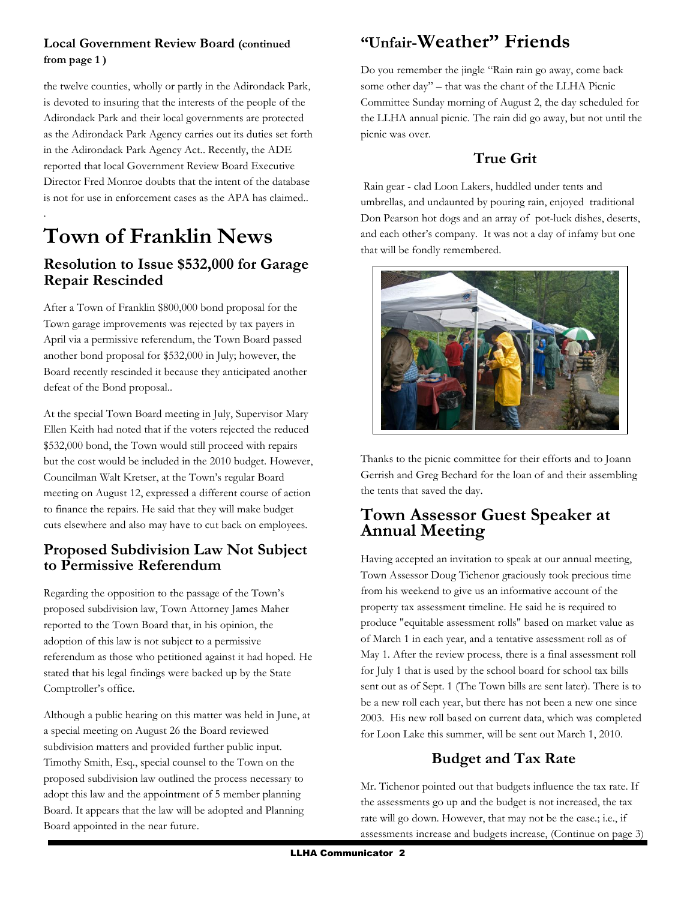#### **Local Government Review Board (continued from page 1 )**

the twelve counties, wholly or partly in the Adirondack Park, is devoted to insuring that the interests of the people of the Adirondack Park and their local governments are protected as the Adirondack Park Agency carries out its duties set forth in the Adirondack Park Agency Act.. Recently, the ADE reported that local Government Review Board Executive Director Fred Monroe doubts that the intent of the database is not for use in enforcement cases as the APA has claimed..

# **Town of Franklin News**

.

## **Resolution to Issue \$532,000 for Garage Repair Rescinded**

- Town garage improvements was rejected by tax payers in After a Town of Franklin \$800,000 bond proposal for the April via a permissive referendum, the Town Board passed another bond proposal for \$532,000 in July; however, the Board recently rescinded it because they anticipated another defeat of the Bond proposal..

At the special Town Board meeting in July, Supervisor Mary Ellen Keith had noted that if the voters rejected the reduced \$532,000 bond, the Town would still proceed with repairs but the cost would be included in the 2010 budget. However, Councilman Walt Kretser, at the Town's regular Board meeting on August 12, expressed a different course of action to finance the repairs. He said that they will make budget cuts elsewhere and also may have to cut back on employees.

## **Proposed Subdivision Law Not Subject to Permissive Referendum**

Regarding the opposition to the passage of the Town's proposed subdivision law, Town Attorney James Maher reported to the Town Board that, in his opinion, the adoption of this law is not subject to a permissive referendum as those who petitioned against it had hoped. He stated that his legal findings were backed up by the State Comptroller's office.

Although a public hearing on this matter was held in June, at a special meeting on August 26 the Board reviewed subdivision matters and provided further public input. Timothy Smith, Esq., special counsel to the Town on the proposed subdivision law outlined the process necessary to adopt this law and the appointment of 5 member planning Board. It appears that the law will be adopted and Planning Board appointed in the near future.

# **"Unfair-Weather" Friends**

Do you remember the jingle "Rain rain go away, come back some other day" – that was the chant of the LLHA Picnic Committee Sunday morning of August 2, the day scheduled for the LLHA annual picnic. The rain did go away, but not until the picnic was over.

# **True Grit**

Rain gear - clad Loon Lakers, huddled under tents and umbrellas, and undaunted by pouring rain, enjoyed traditional Don Pearson hot dogs and an array of pot-luck dishes, deserts, and each other's company. It was not a day of infamy but one that will be fondly remembered.



Thanks to the picnic committee for their efforts and to Joann Gerrish and Greg Bechard for the loan of and their assembling the tents that saved the day.

# **Town Assessor Guest Speaker at Annual Meeting**

Having accepted an invitation to speak at our annual meeting, Town Assessor Doug Tichenor graciously took precious time from his weekend to give us an informative account of the property tax assessment timeline. He said he is required to produce "equitable assessment rolls" based on market value as of March 1 in each year, and a tentative assessment roll as of May 1. After the review process, there is a final assessment roll for July 1 that is used by the school board for school tax bills sent out as of Sept. 1 (The Town bills are sent later). There is to be a new roll each year, but there has not been a new one since 2003. His new roll based on current data, which was completed for Loon Lake this summer, will be sent out March 1, 2010.

# **Budget and Tax Rate**

Mr. Tichenor pointed out that budgets influence the tax rate. If the assessments go up and the budget is not increased, the tax rate will go down. However, that may not be the case.; i.e., if assessments increase and budgets increase, (Continue on page 3)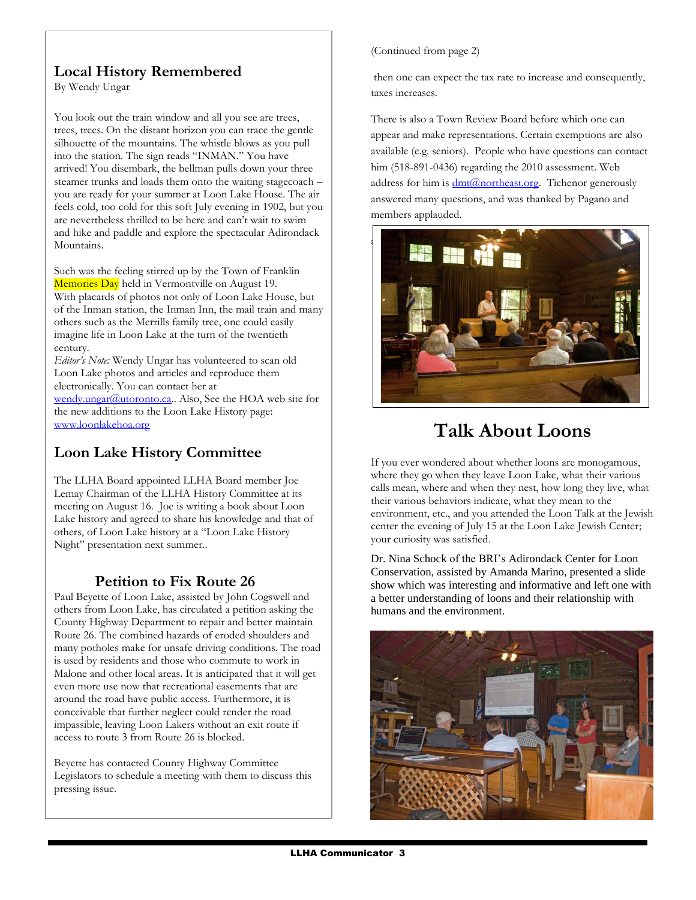# **Local History Remembered**

By Wendy Ungar

You look out the train window and all you see are trees, trees, trees. On the distant horizon you can trace the gentle silhouette of the mountains. The whistle blows as you pull into the station. The sign reads "INMAN." You have arrived! You disembark, the bellman pulls down your three steamer trunks and loads them onto the waiting stagecoach – you are ready for your summer at Loon Lake House. The air feels cold, too cold for this soft July evening in 1902, but you are nevertheless thrilled to be here and can't wait to swim and hike and paddle and explore the spectacular Adirondack Mountains.

Such was the feeling stirred up by the Town of Franklin Memories Day held in Vermontville on August 19. With placards of photos not only of Loon Lake House, but of the Inman station, the Inman Inn, the mail train and many others such as the Merrills family tree, one could easily imagine life in Loon Lake at the turn of the twentieth century.

*Editor's Note:* Wendy Ungar has volunteered to scan old Loon Lake photos and articles and reproduce them electronically. You can contact her at

[wendy.ungar@utoronto.ca.](mailto:wendy.ungar@utoronto.ca). Also, See the HOA web site for the new additions to the Loon Lake History page: [www.loonlakehoa.org](http://www.loonlakehoa.org/) 

# **Loon Lake History Committee**

The LLHA Board appointed LLHA Board member Joe Lemay Chairman of the LLHA History Committee at its meeting on August 16. Joe is writing a book about Loon Lake history and agreed to share his knowledge and that of others, of Loon Lake history at a "Loon Lake History Night" presentation next summer..

## **Petition to Fix Route 26**

Paul Beyette of Loon Lake, assisted by John Cogswell and others from Loon Lake, has circulated a petition asking the County Highway Department to repair and better maintain Route 26. The combined hazards of eroded shoulders and many potholes make for unsafe driving conditions. The road is used by residents and those who commute to work in Malone and other local areas. It is anticipated that it will get even more use now that recreational easements that are around the road have public access. Furthermore, it is conceivable that further neglect could render the road impassible, leaving Loon Lakers without an exit route if access to route 3 from Route 26 is blocked.

Beyette has contacted County Highway Committee Legislators to schedule a meeting with them to discuss this pressing issue.

(Continued from page 2)

then one can expect the tax rate to increase and consequently, taxes increases.

There is also a Town Review Board before which one can appear and make representations. Certain exemptions are also available (e.g. seniors). People who have questions can contact him (518-891-0436) regarding the 2010 assessment. Web address for him is  $\frac{dmt(\partial_{\text{nor}}thetast.org)}{dt}$ . Tichenor generously answered many questions, and was thanked by Pagano and members applauded.



# **Talk About Loons**

If you ever wondered about whether loons are monogamous, where they go when they leave Loon Lake, what their various calls mean, where and when they nest, how long they live, what their various behaviors indicate, what they mean to the environment, etc., and you attended the Loon Talk at the Jewish center the evening of July 15 at the Loon Lake Jewish Center; your curiosity was satisfied.

Dr. Nina Schock of the BRI's Adirondack Center for Loon Conservation, assisted by Amanda Marino, presented a slide show which was interesting and informative and left one with a better understanding of loons and their relationship with humans and the environment.